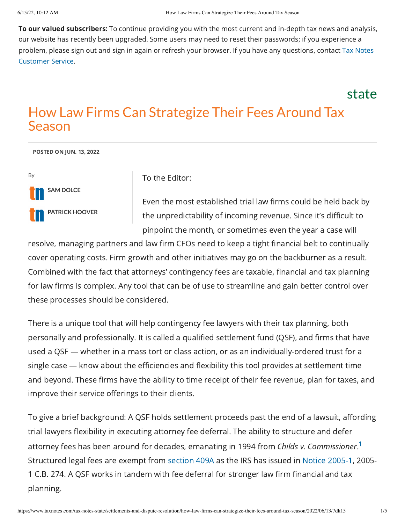To our valued subscribers: To continue providing you with the most current and in-depth tax news and analysis, our website has recently been upgraded. Some users may need to reset their passwords; if you experience a problem, please sign out and sign in again or refresh your browser. If you have any [questions,](https://www.taxnotes.com/support) contact Tax Notes Customer Service.

state

## How Law Firms Can Strategize Their Fees Around Tax Season

POSTED ON JUN. 13, 2022



To the Editor:

<span id="page-0-0"></span>Even the most established trial law firms could be held back by the unpredictability of incoming revenue. Since it's difficult to pinpoint the month, or sometimes even the year a case will

resolve, managing partners and law firm CFOs need to keep a tight financial belt to continually cover operating costs. Firm growth and other initiatives may go on the backburner as a result. Combined with the fact that attorneys' contingency fees are taxable, financial and tax planning for law firms is complex. Any tool that can be of use to streamline and gain better control over these processes should be considered.

There is a unique tool that will help contingency fee lawyers with their tax planning, both personally and professionally. It is called a qualified settlement fund (QSF), and firms that have used a QSF — whether in a mass tort or class action, or as an individually-ordered trust for a single case — know about the efficiencies and flexibility this tool provides at settlement time and beyond. These firms have the ability to time receipt of their fee revenue, plan for taxes, and improve their service offerings to their clients.

To give a brief background: A QSF holds settlement proceeds past the end of a lawsuit, affording trial lawyers flexibility in executing attorney fee deferral. The ability to structure and defer attorney fees has been around for decades, emanating in [1](#page-4-0)994 from Childs v. Commissioner.<sup>1</sup> Structured legal fees are exempt from [section](https://www.taxnotes.com/lr/resolve/cq5q) 409A as the IRS has issued in Notice [2005-1](https://www.taxnotes.com/lr/resolve//1fvbx), 2005- 1 C.B. 274. A QSF works in tandem with fee deferral for stronger law firm financial and tax planning.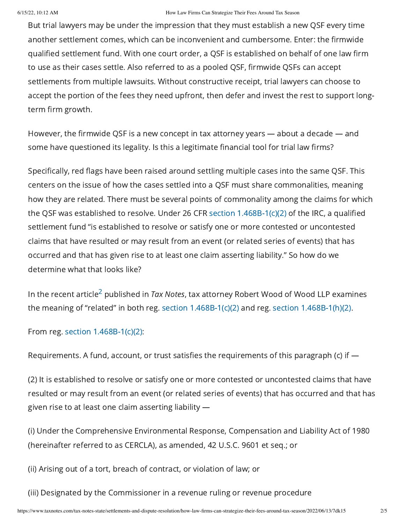But trial lawyers may be under the impression that they must establish a new QSF every time another settlement comes, which can be inconvenient and cumbersome. Enter: the firmwide qualified settlement fund. With one court order, a QSF is established on behalf of one law firm to use as their cases settle. Also referred to as a pooled QSF, firmwide QSFs can accept settlements from multiple lawsuits. Without constructive receipt, trial lawyers can choose to accept the portion of the fees they need upfront, then defer and invest the rest to support longterm firm growth.

However, the firmwide QSF is a new concept in tax attorney years — about a decade — and some have questioned its legality. Is this a legitimate financial tool for trial law firms?

Specifically, red flags have been raised around settling multiple cases into the same QSF. This centers on the issue of how the cases settled into a QSF must share commonalities, meaning how they are related. There must be several points of commonality among the claims for which the QSF was established to resolve. Under 26 CFR section [1.468B-1\(c\)\(2\)](https://www.taxnotes.com/lr/resolve/cwqk#cwqk-0000006) of the IRC, a qualified settlement fund "is established to resolve or satisfy one or more contested or uncontested claims that have resulted or may result from an event (or related series of events) that has occurred and that has given rise to at least one claim asserting liability." So how do we determine what that looks like?

<span id="page-1-0"></span>In the recent article $^2$  $^2$  published in *Tax Notes*, tax attorney Robert Wood of Wood LLP examines the meaning of "related" in both reg. section [1.468B-1\(c\)\(2\)](https://www.taxnotes.com/lr/resolve/cwqk#cwqk-0000006) and reg. section [1.468B-1\(h\)\(2\)](https://www.taxnotes.com/lr/resolve/cwqk#cwqk-0000030).

From reg. section [1.468B-1\(c\)\(2\):](https://www.taxnotes.com/lr/resolve/cwqk#cwqk-0000006)

Requirements. A fund, account, or trust satisfies the requirements of this paragraph (c) if —

(2) It is established to resolve or satisfy one or more contested or uncontested claims that have resulted or may result from an event (or related series of events) that has occurred and that has given rise to at least one claim asserting liability —

(i) Under the Comprehensive Environmental Response, Compensation and Liability Act of 1980 (hereinafter referred to as CERCLA), as amended, 42 U.S.C. 9601 et seq.; or

(ii) Arising out of a tort, breach of contract, or violation of law; or

(iii) Designated by the Commissioner in a revenue ruling or revenue procedure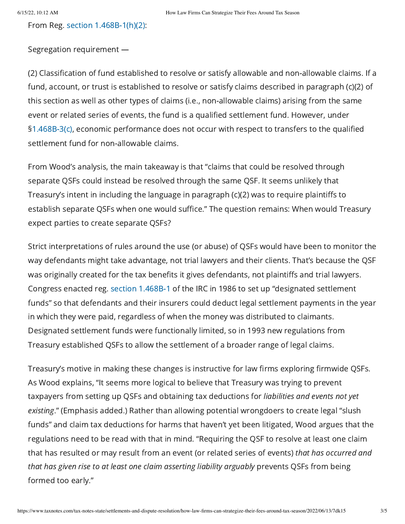From Reg. section [1.468B-1\(h\)\(2\)](https://www.taxnotes.com/lr/resolve/cwqk#cwqk-0000030):

Segregation requirement —

(2) Classification of fund established to resolve or satisfy allowable and non-allowable claims. If a fund, account, or trust is established to resolve or satisfy claims described in paragraph (c)(2) of this section as well as other types of claims (i.e., non-allowable claims) arising from the same event or related series of events, the fund is a qualified settlement fund. However, under §[1.468B-3\(c\),](https://www.taxnotes.com/lr/resolve/cxcf#cxcf-0000030) economic performance does not occur with respect to transfers to the qualified settlement fund for non-allowable claims.

From Wood's analysis, the main takeaway is that "claims that could be resolved through separate QSFs could instead be resolved through the same QSF. It seems unlikely that Treasury's intent in including the language in paragraph (c)(2) was to require plaintiffs to establish separate QSFs when one would suffice." The question remains: When would Treasury expect parties to create separate QSFs?

Strict interpretations of rules around the use (or abuse) of QSFs would have been to monitor the way defendants might take advantage, not trial lawyers and their clients. That's because the QSF was originally created for the tax benefits it gives defendants, not plaintiffs and trial lawyers. Congress enacted reg. section [1.468B-1](https://www.taxnotes.com/lr/resolve/cwqk) of the IRC in 1986 to set up "designated settlement funds" so that defendants and their insurers could deduct legal settlement payments in the year in which they were paid, regardless of when the money was distributed to claimants. Designated settlement funds were functionally limited, so in 1993 new regulations from Treasury established QSFs to allow the settlement of a broader range of legal claims.

Treasury's motive in making these changes is instructive for law firms exploring firmwide QSFs. As Wood explains, "It seems more logical to believe that Treasury was trying to prevent taxpayers from setting up QSFs and obtaining tax deductions for liabilities and events not yet existing." (Emphasis added.) Rather than allowing potential wrongdoers to create legal "slush funds" and claim tax deductions for harms that haven't yet been litigated, Wood argues that the regulations need to be read with that in mind. "Requiring the QSF to resolve at least one claim that has resulted or may result from an event (or related series of events) that has occurred and that has given rise to at least one claim asserting liability arguably prevents QSFs from being formed too early."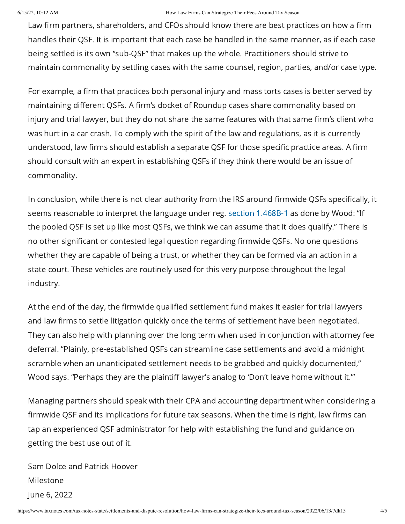## 6/15/22, 10:12 AM How Law Firms Can Strategize Their Fees Around Tax Season

Law firm partners, shareholders, and CFOs should know there are best practices on how a firm handles their QSF. It is important that each case be handled in the same manner, as if each case being settled is its own "sub-QSF" that makes up the whole. Practitioners should strive to maintain commonality by settling cases with the same counsel, region, parties, and/or case type.

For example, a firm that practices both personal injury and mass torts cases is better served by maintaining different QSFs. A firm's docket of Roundup cases share commonality based on injury and trial lawyer, but they do not share the same features with that same firm's client who was hurt in a car crash. To comply with the spirit of the law and regulations, as it is currently understood, law firms should establish a separate QSF for those specific practice areas. A firm should consult with an expert in establishing QSFs if they think there would be an issue of commonality.

In conclusion, while there is not clear authority from the IRS around firmwide QSFs specifically, it seems reasonable to interpret the language under reg. section [1.468B-1](https://www.taxnotes.com/lr/resolve/cwqk) as done by Wood: "If the pooled QSF is set up like most QSFs, we think we can assume that it does qualify." There is no other significant or contested legal question regarding firmwide QSFs. No one questions whether they are capable of being a trust, or whether they can be formed via an action in a state court. These vehicles are routinely used for this very purpose throughout the legal industry.

At the end of the day, the firmwide qualified settlement fund makes it easier for trial lawyers and law firms to settle litigation quickly once the terms of settlement have been negotiated. They can also help with planning over the long term when used in conjunction with attorney fee deferral. "Plainly, pre-established QSFs can streamline case settlements and avoid a midnight scramble when an unanticipated settlement needs to be grabbed and quickly documented," Wood says. "Perhaps they are the plaintiff lawyer's analog to 'Don't leave home without it.'"

Managing partners should speak with their CPA and accounting department when considering a firmwide QSF and its implications for future tax seasons. When the time is right, law firms can tap an experienced QSF administrator for help with establishing the fund and guidance on getting the best use out of it.

Sam Dolce and Patrick Hoover Milestone June 6, 2022